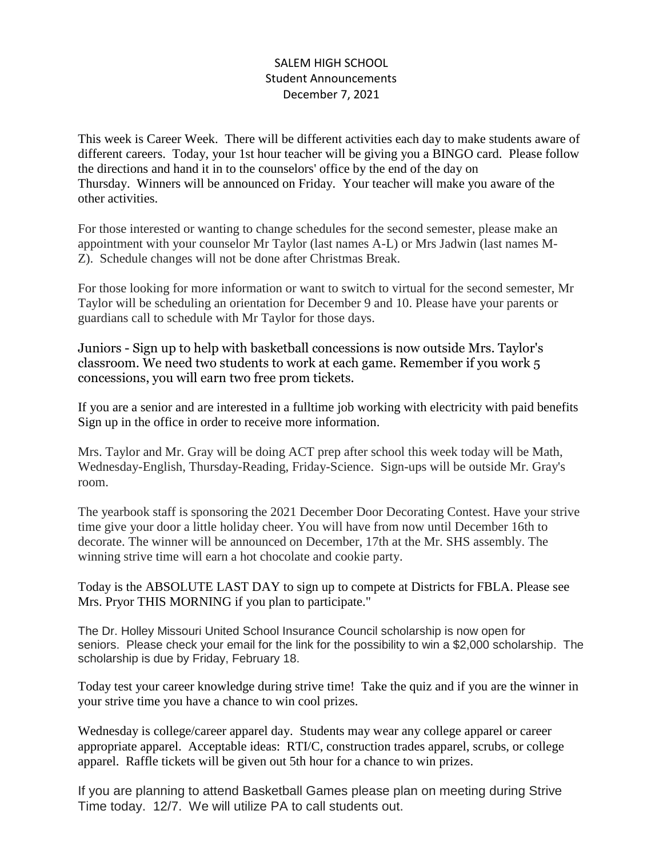## SALEM HIGH SCHOOL Student Announcements December 7, 2021

This week is Career Week. There will be different activities each day to make students aware of different careers. Today, your 1st hour teacher will be giving you a BINGO card. Please follow the directions and hand it in to the counselors' office by the end of the day on Thursday. Winners will be announced on Friday. Your teacher will make you aware of the other activities.

For those interested or wanting to change schedules for the second semester, please make an appointment with your counselor Mr Taylor (last names A-L) or Mrs Jadwin (last names M-Z). Schedule changes will not be done after Christmas Break.

For those looking for more information or want to switch to virtual for the second semester, Mr Taylor will be scheduling an orientation for December 9 and 10. Please have your parents or guardians call to schedule with Mr Taylor for those days.

Juniors - Sign up to help with basketball concessions is now outside Mrs. Taylor's classroom. We need two students to work at each game. Remember if you work 5 concessions, you will earn two free prom tickets.

If you are a senior and are interested in a fulltime job working with electricity with paid benefits Sign up in the office in order to receive more information.

Mrs. Taylor and Mr. Gray will be doing ACT prep after school this week today will be Math, Wednesday-English, Thursday-Reading, Friday-Science. Sign-ups will be outside Mr. Gray's room.

The yearbook staff is sponsoring the 2021 December Door Decorating Contest. Have your strive time give your door a little holiday cheer. You will have from now until December 16th to decorate. The winner will be announced on December, 17th at the Mr. SHS assembly. The winning strive time will earn a hot chocolate and cookie party.

Today is the ABSOLUTE LAST DAY to sign up to compete at Districts for FBLA. Please see Mrs. Pryor THIS MORNING if you plan to participate."

The Dr. Holley Missouri United School Insurance Council scholarship is now open for seniors. Please check your email for the link for the possibility to win a \$2,000 scholarship. The scholarship is due by Friday, February 18.

Today test your career knowledge during strive time! Take the quiz and if you are the winner in your strive time you have a chance to win cool prizes.

Wednesday is college/career apparel day. Students may wear any college apparel or career appropriate apparel. Acceptable ideas: RTI/C, construction trades apparel, scrubs, or college apparel. Raffle tickets will be given out 5th hour for a chance to win prizes.

If you are planning to attend Basketball Games please plan on meeting during Strive Time today. 12/7. We will utilize PA to call students out.